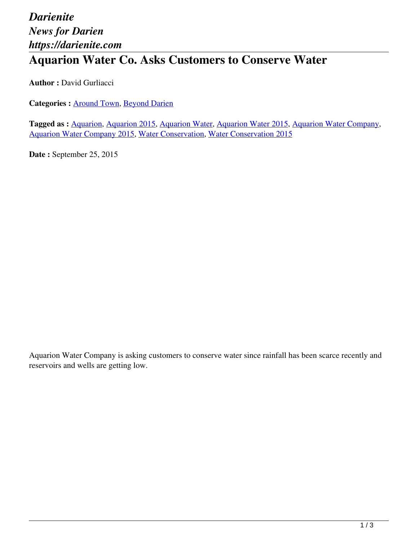## *Darienite News for Darien https://darienite.com*

## **Aquarion Water Co. Asks Customers to Conserve Water**

**Author : David Gurliacci** 

**Categories :** [Around Town,](https://darienite.com/category/news/around-town) Beyond Darien

**Tagged as :** Aquarion, Aquarion 2015, Aquarion Water, Aquarion Water 2015, Aquarion Water Company, Aquarion Water Company 2015, Water Conservation, Water Conservation 2015

**Date :** September 25, 2015

Aquarion Water Company is asking customers to conserve water since rainfall has been scarce recently and reservoirs and wells are getting low.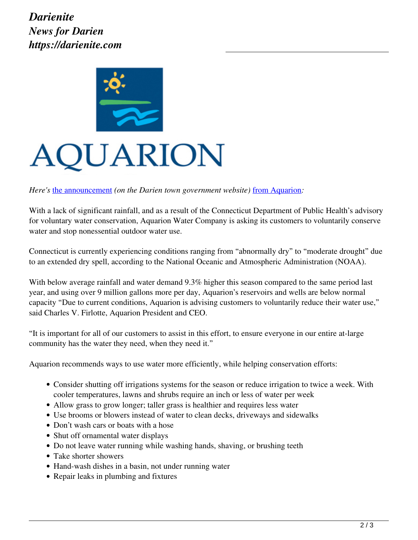

## QUARION

*Here's* the announcement (on the Darien town government website) from Aquarion:

With a lack of significant rainfall, and as a result of the Connecticut Department of Public Health's advisory for voluntary water conservation, Aquarion Water Company is asking its customers to voluntarily conserve water and stop nonessential outdoor water use.

Connecticut is currently experiencing conditions ranging from "abnormally dry" to "moderate drought" due to an extended dry spell, according to the National Oceanic and Atmospheric Administration (NOAA).

With below average rainfall and water demand 9.3% higher this season compared to the same period last year, and using over 9 million gallons more per day, Aquarion's reservoirs and wells are below normal capacity "Due to current conditions, Aquarion is advising customers to voluntarily reduce their water use," said Charles V. Firlotte, Aquarion President and CEO.

"It is important for all of our customers to assist in this effort, to ensure everyone in our entire at-large community has the water they need, when they need it."

Aquarion recommends ways to use water more efficiently, while helping conservation efforts:

- Consider shutting off irrigations systems for the season or reduce irrigation to twice a week. With cooler temperatures, lawns and shrubs require an inch or less of water per week
- Allow grass to grow longer; taller grass is healthier and requires less water
- Use brooms or blowers instead of water to clean decks, driveways and sidewalks
- Don't wash cars or boats with a hose
- Shut off ornamental water displays
- Do not leave water running while washing hands, shaving, or brushing teeth
- Take shorter showers
- Hand-wash dishes in a basin, not under running water
- Repair leaks in plumbing and fixtures